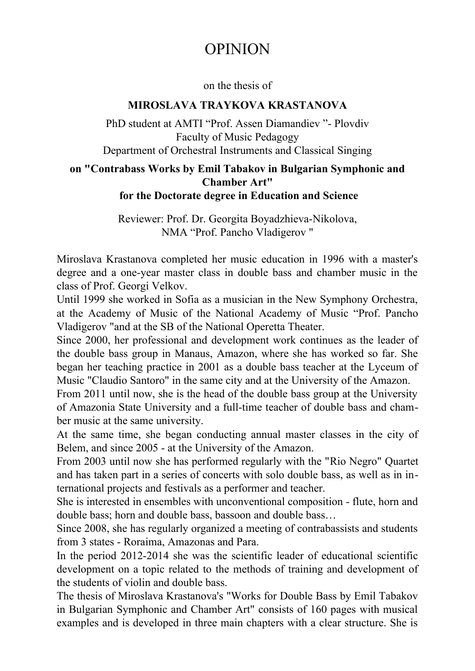## OPINION

## on the thesis of

## **MIROSLAVA TRAYKOVA KRASTANOVA**

PhD student at AMTI "Prof. Assen Diamandiev "- Plovdiv Faculty of Music Pedagogy Department of Orchestral Instruments and Classical Singing

## **on "Contrabass Works by Emil Tabakov in Bulgarian Symphonic and Chamber Art" for the Doctorate degree in Education and Science**

Reviewer: Prof. Dr. Georgita Boyadzhieva-Nikolova, NMA "Prof. Pancho Vladigerov "

Miroslava Krastanova completed her music education in 1996 with a master's degree and a one-year master class in double bass and chamber music in the class of Prof. Georgi Velkov.

Until 1999 she worked in Sofia as a musician in the New Symphony Orchestra, at the Academy of Music of the National Academy of Music "Prof. Pancho Vladigerov "and at the SB of the National Operetta Theater.

Since 2000, her professional and development work continues as the leader of the double bass group in Manaus, Amazon, where she has worked so far. She began her teaching practice in 2001 as a double bass teacher at the Lyceum of Music "Claudio Santoro" in the same city and at the University of the Amazon.

From 2011 until now, she is the head of the double bass group at the University of Amazonia State University and a full-time teacher of double bass and chamber music at the same university.

At the same time, she began conducting annual master classes in the city of Belem, and since 2005 - at the University of the Amazon.

From 2003 until now she has performed regularly with the "Rio Negro" Quartet and has taken part in a series of concerts with solo double bass, as well as in international projects and festivals as a performer and teacher.

She is interested in ensembles with unconventional composition - flute, horn and double bass; horn and double bass, bassoon and double bass…

Since 2008, she has regularly organized a meeting of contrabassists and students from 3 states - Roraima, Amazonas and Para.

In the period 2012-2014 she was the scientific leader of educational scientific development on a topic related to the methods of training and development of the students of violin and double bass.

The thesis of Miroslava Krastanova's "Works for Double Bass by Emil Tabakov in Bulgarian Symphonic and Chamber Art" consists of 160 pages with musical examples and is developed in three main chapters with a clear structure. She is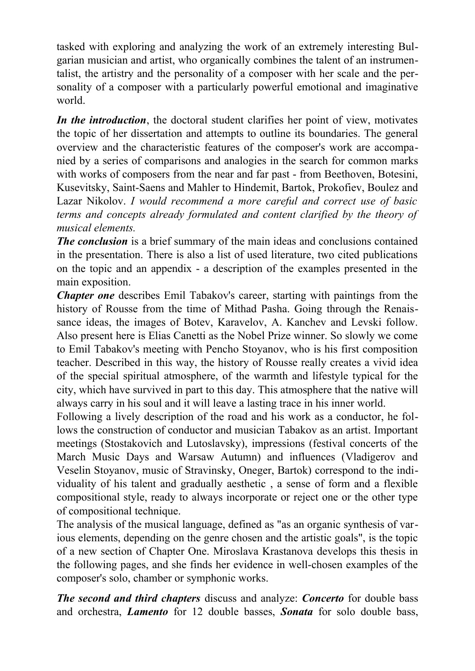tasked with exploring and analyzing the work of an extremely interesting Bulgarian musician and artist, who organically combines the talent of an instrumentalist, the artistry and the personality of a composer with her scale and the personality of a composer with a particularly powerful emotional and imaginative world.

*In the introduction*, the doctoral student clarifies her point of view, motivates the topic of her dissertation and attempts to outline its boundaries. The general overview and the characteristic features of the composer's work are accompanied by a series of comparisons and analogies in the search for common marks with works of composers from the near and far past - from Beethoven, Botesini, Kusevitsky, Saint-Saens and Mahler to Hindemit, Bartok, Prokofiev, Boulez and Lazar Nikolov. *I would recommend a more careful and correct use of basic terms and concepts already formulated and content clarified by the theory of musical elements.*

*The conclusion* is a brief summary of the main ideas and conclusions contained in the presentation. There is also a list of used literature, two cited publications on the topic and an appendix - a description of the examples presented in the main exposition.

*Chapter one* describes Emil Tabakov's career, starting with paintings from the history of Rousse from the time of Mithad Pasha. Going through the Renaissance ideas, the images of Botev, Karavelov, A. Kanchev and Levski follow. Also present here is Elias Canetti as the Nobel Prize winner. So slowly we come to Emil Tabakov's meeting with Pencho Stoyanov, who is his first composition teacher. Described in this way, the history of Rousse really creates a vivid idea of the special spiritual atmosphere, of the warmth and lifestyle typical for the city, which have survived in part to this day. This atmosphere that the native will always carry in his soul and it will leave a lasting trace in his inner world.

Following a lively description of the road and his work as a conductor, he follows the construction of conductor and musician Tabakov as an artist. Important meetings (Stostakovich and Lutoslavsky), impressions (festival concerts of the March Music Days and Warsaw Autumn) and influences (Vladigerov and Veselin Stoyanov, music of Stravinsky, Oneger, Bartok) correspond to the individuality of his talent and gradually aesthetic , a sense of form and a flexible compositional style, ready to always incorporate or reject one or the other type of compositional technique.

The analysis of the musical language, defined as "as an organic synthesis of various elements, depending on the genre chosen and the artistic goals", is the topic of a new section of Chapter One. Miroslava Krastanova develops this thesis in the following pages, and she finds her evidence in well-chosen examples of the composer's solo, chamber or symphonic works.

*The second and third chapters* discuss and analyze: *Concerto* for double bass and orchestra, *Lamento* for 12 double basses, *Sonata* for solo double bass,